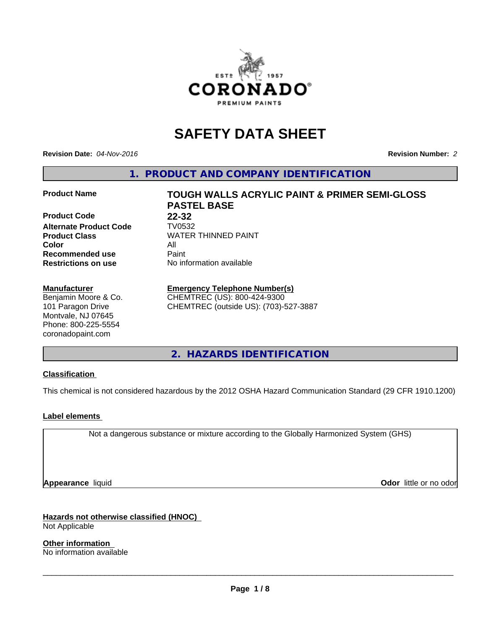

# **SAFETY DATA SHEET**

**Revision Date:** *04-Nov-2016* **Revision Number:** *2*

**1. PRODUCT AND COMPANY IDENTIFICATION**

Product Code 22-32 **Alternate Product Code TV0532**<br>**Product Class** WATER **Color** All **Recommended use** Paint<br> **Restrictions on use** No inf

#### **Manufacturer**

Benjamin Moore & Co. 101 Paragon Drive Montvale, NJ 07645 Phone: 800-225-5554 coronadopaint.com

**Product Name TOUGH WALLS ACRYLIC PAINT & PRIMER SEMI-GLOSS PASTEL BASE Product Class** WATER THINNED PAINT<br>
Color **No information available** 

# **Emergency Telephone Number(s)**

CHEMTREC (US): 800-424-9300 CHEMTREC (outside US): (703)-527-3887

**2. HAZARDS IDENTIFICATION**

# **Classification**

This chemical is not considered hazardous by the 2012 OSHA Hazard Communication Standard (29 CFR 1910.1200)

#### **Label elements**

Not a dangerous substance or mixture according to the Globally Harmonized System (GHS)

**Appearance** liquid **Contract Contract Contract Contract Contract Contract Contract Contract Contract Contract Contract Contract Contract Contract Contract Contract Contract Contract Contract Contract Contract Contract Con** 

**Hazards not otherwise classified (HNOC)** Not Applicable

**Other information** No information available

 $\overline{\phantom{a}}$  ,  $\overline{\phantom{a}}$  ,  $\overline{\phantom{a}}$  ,  $\overline{\phantom{a}}$  ,  $\overline{\phantom{a}}$  ,  $\overline{\phantom{a}}$  ,  $\overline{\phantom{a}}$  ,  $\overline{\phantom{a}}$  ,  $\overline{\phantom{a}}$  ,  $\overline{\phantom{a}}$  ,  $\overline{\phantom{a}}$  ,  $\overline{\phantom{a}}$  ,  $\overline{\phantom{a}}$  ,  $\overline{\phantom{a}}$  ,  $\overline{\phantom{a}}$  ,  $\overline{\phantom{a}}$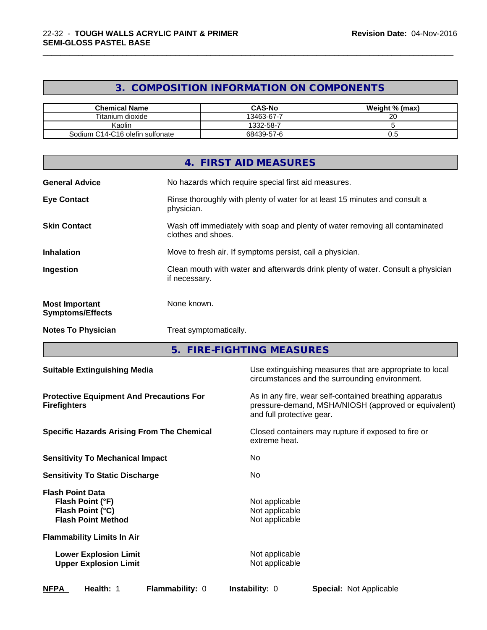# **3. COMPOSITION INFORMATION ON COMPONENTS**

\_\_\_\_\_\_\_\_\_\_\_\_\_\_\_\_\_\_\_\_\_\_\_\_\_\_\_\_\_\_\_\_\_\_\_\_\_\_\_\_\_\_\_\_\_\_\_\_\_\_\_\_\_\_\_\_\_\_\_\_\_\_\_\_\_\_\_\_\_\_\_\_\_\_\_\_\_\_\_\_\_\_\_\_\_\_\_\_\_\_\_\_\_

| <b>Chemical Name</b>            | <b>CAS-No</b> | Weight % (max) |
|---------------------------------|---------------|----------------|
| Titanium dioxide                | 13463-67-7    | 20             |
| Kaolin                          | 1332-58-7     |                |
| Sodium C14-C16 olefin sulfonate | 68439-57-6    | ◡.             |

|                                                  | 4. FIRST AID MEASURES                                                                              |
|--------------------------------------------------|----------------------------------------------------------------------------------------------------|
| <b>General Advice</b>                            | No hazards which require special first aid measures.                                               |
| <b>Eye Contact</b>                               | Rinse thoroughly with plenty of water for at least 15 minutes and consult a<br>physician.          |
| <b>Skin Contact</b>                              | Wash off immediately with soap and plenty of water removing all contaminated<br>clothes and shoes. |
| <b>Inhalation</b>                                | Move to fresh air. If symptoms persist, call a physician.                                          |
| Ingestion                                        | Clean mouth with water and afterwards drink plenty of water. Consult a physician<br>if necessary.  |
| <b>Most Important</b><br><b>Symptoms/Effects</b> | None known.                                                                                        |
| <b>Notes To Physician</b>                        | Treat symptomatically.                                                                             |

**5. FIRE-FIGHTING MEASURES**

| <b>Suitable Extinguishing Media</b>                                                          | Use extinguishing measures that are appropriate to local<br>circumstances and the surrounding environment.                                   |
|----------------------------------------------------------------------------------------------|----------------------------------------------------------------------------------------------------------------------------------------------|
| <b>Protective Equipment And Precautions For</b><br><b>Firefighters</b>                       | As in any fire, wear self-contained breathing apparatus<br>pressure-demand, MSHA/NIOSH (approved or equivalent)<br>and full protective gear. |
| <b>Specific Hazards Arising From The Chemical</b>                                            | Closed containers may rupture if exposed to fire or<br>extreme heat.                                                                         |
| <b>Sensitivity To Mechanical Impact</b>                                                      | No                                                                                                                                           |
| <b>Sensitivity To Static Discharge</b>                                                       | No.                                                                                                                                          |
| <b>Flash Point Data</b><br>Flash Point (°F)<br>Flash Point (°C)<br><b>Flash Point Method</b> | Not applicable<br>Not applicable<br>Not applicable                                                                                           |
| <b>Flammability Limits In Air</b>                                                            |                                                                                                                                              |
| <b>Lower Explosion Limit</b><br><b>Upper Explosion Limit</b>                                 | Not applicable<br>Not applicable                                                                                                             |
| <b>NFPA</b><br>Health: 1<br><b>Flammability: 0</b>                                           | <b>Instability: 0</b><br><b>Special: Not Applicable</b>                                                                                      |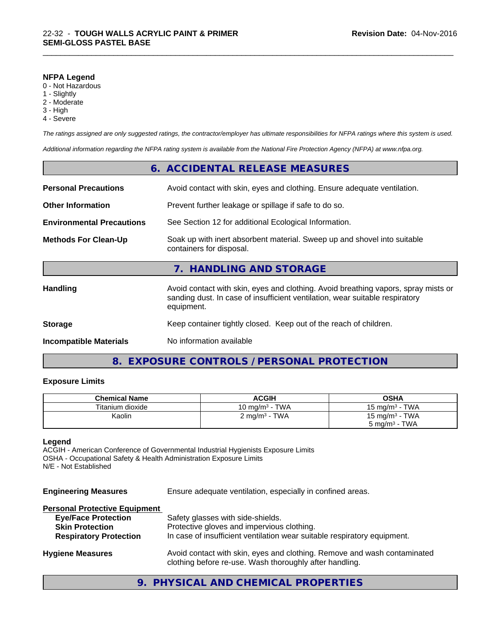#### **NFPA Legend**

- 0 Not Hazardous
- 1 Slightly
- 2 Moderate
- 3 High
- 4 Severe

*The ratings assigned are only suggested ratings, the contractor/employer has ultimate responsibilities for NFPA ratings where this system is used.*

\_\_\_\_\_\_\_\_\_\_\_\_\_\_\_\_\_\_\_\_\_\_\_\_\_\_\_\_\_\_\_\_\_\_\_\_\_\_\_\_\_\_\_\_\_\_\_\_\_\_\_\_\_\_\_\_\_\_\_\_\_\_\_\_\_\_\_\_\_\_\_\_\_\_\_\_\_\_\_\_\_\_\_\_\_\_\_\_\_\_\_\_\_

*Additional information regarding the NFPA rating system is available from the National Fire Protection Agency (NFPA) at www.nfpa.org.*

| <b>Incompatible Materials</b>    | No information available                                                                                                                                                         |
|----------------------------------|----------------------------------------------------------------------------------------------------------------------------------------------------------------------------------|
| <b>Storage</b>                   | Keep container tightly closed. Keep out of the reach of children.                                                                                                                |
| <b>Handling</b>                  | Avoid contact with skin, eyes and clothing. Avoid breathing vapors, spray mists or<br>sanding dust. In case of insufficient ventilation, wear suitable respiratory<br>equipment. |
|                                  | 7. HANDLING AND STORAGE                                                                                                                                                          |
| <b>Methods For Clean-Up</b>      | Soak up with inert absorbent material. Sweep up and shovel into suitable<br>containers for disposal.                                                                             |
| <b>Environmental Precautions</b> | See Section 12 for additional Ecological Information.                                                                                                                            |
| <b>Other Information</b>         | Prevent further leakage or spillage if safe to do so.                                                                                                                            |
| <b>Personal Precautions</b>      | Avoid contact with skin, eyes and clothing. Ensure adequate ventilation.                                                                                                         |
|                                  | 6. ACCIDENTAL RELEASE MEASURES                                                                                                                                                   |

# **8. EXPOSURE CONTROLS / PERSONAL PROTECTION**

#### **Exposure Limits**

| <b>Chemical Name</b> | <b>ACGIH</b>             | OSHA                       |
|----------------------|--------------------------|----------------------------|
| Titanium dioxide     | 10 mg/m $3$ - TWA        | 15 mg/m $3$ - TWA          |
| Kaolin               | $2 \text{ mg/m}^3$ - TWA | 15 mg/m <sup>3</sup> - TWA |
|                      |                          | $5 \text{ mg/m}^3$ - TWA   |

### **Legend**

ACGIH - American Conference of Governmental Industrial Hygienists Exposure Limits OSHA - Occupational Safety & Health Administration Exposure Limits N/E - Not Established

| <b>Engineering Measures</b> | Ensure adequate ventilation, especially in confined areas. |  |
|-----------------------------|------------------------------------------------------------|--|
|-----------------------------|------------------------------------------------------------|--|

### **Personal Protective Equipment**

| <b>Eye/Face Protection</b>    | Safety glasses with side-shields.                                                                                                   |
|-------------------------------|-------------------------------------------------------------------------------------------------------------------------------------|
| <b>Skin Protection</b>        | Protective gloves and impervious clothing.                                                                                          |
| <b>Respiratory Protection</b> | In case of insufficient ventilation wear suitable respiratory equipment.                                                            |
| <b>Hygiene Measures</b>       | Avoid contact with skin, eyes and clothing. Remove and wash contaminated<br>clothing before re-use. Wash thoroughly after handling. |

# **9. PHYSICAL AND CHEMICAL PROPERTIES**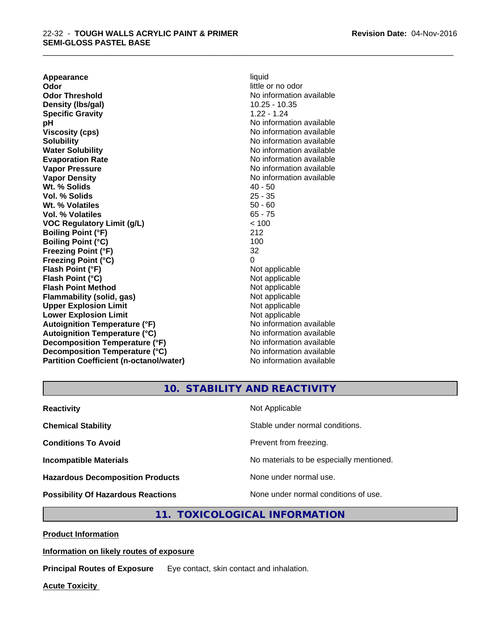**Appearance** liquid **Odor** little or no odor **Odor Threshold No information available No information available Density (Ibs/gal)** 10.25 - 10.35 **Specific Gravity** 1.22 - 1.24 **pH** No information available **Viscosity (cps)** No information available in the Viscosity (cps) **Solubility Note 2008 Note 2008 Note 2008 Note 2008 Note 2008 Note 2008 Note 2008 Note 2008 Note 2008 Note 2008 Note 2008 Note 2008 Note 2008 Note 2008 Note 2008 Note 2008 Note 2008 Note Water Solubility Water Solubility Water Solubility No information available Evaporation Rate No information available No information available Vapor Pressure** No information available **Vapor Density Vapor Density No information available Wt. % Solids** 40 - 50 **Vol. % Solids** 25 - 35 **Wt. % Volatiles** 50 - 60 **Vol. % Volatiles** 65 - 75 **VOC Regulatory Limit (g/L)** < 100 **Boiling Point (°F)** 212 **Boiling Point (°C)** 100 **Freezing Point (°F)** 32 **Freezing Point (°C)** 0 **Flash Point (°F)** Not applicable **Flash Point (°C)** Not applicable **Flash Point Method** Not applicable **Flammability (solid, gas)** Not applicable **Upper Explosion Limit** Not applicable **Lower Explosion Limit**<br> **Autoignition Temperature (°F)**<br> **Autoignition Temperature (°F)**<br> **Autoignition Temperature (°F)**<br> **Autoignition Temperature (°F)** Autoignition Temperature (°F)<br> **Autoignition Temperature (°C)**<br>
No information available **Autoignition Temperature (°C) Decomposition Temperature (°F)** No information available **Decomposition Temperature (°C)** No information available **Partition Coefficient (n-octanol/water)** No information available

\_\_\_\_\_\_\_\_\_\_\_\_\_\_\_\_\_\_\_\_\_\_\_\_\_\_\_\_\_\_\_\_\_\_\_\_\_\_\_\_\_\_\_\_\_\_\_\_\_\_\_\_\_\_\_\_\_\_\_\_\_\_\_\_\_\_\_\_\_\_\_\_\_\_\_\_\_\_\_\_\_\_\_\_\_\_\_\_\_\_\_\_\_

**10. STABILITY AND REACTIVITY**

| <b>Reactivity</b>                         | Not Applicable                           |
|-------------------------------------------|------------------------------------------|
| <b>Chemical Stability</b>                 | Stable under normal conditions.          |
| <b>Conditions To Avoid</b>                | Prevent from freezing.                   |
| <b>Incompatible Materials</b>             | No materials to be especially mentioned. |
| <b>Hazardous Decomposition Products</b>   | None under normal use.                   |
| <b>Possibility Of Hazardous Reactions</b> | None under normal conditions of use.     |

# **11. TOXICOLOGICAL INFORMATION**

**Product Information**

#### **Information on likely routes of exposure**

**Principal Routes of Exposure** Eye contact, skin contact and inhalation.

**Acute Toxicity**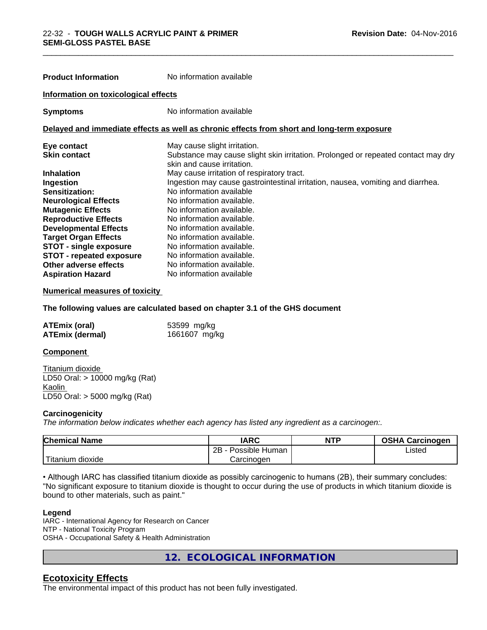| <b>Product Information</b>           | No information available                                                                                        |
|--------------------------------------|-----------------------------------------------------------------------------------------------------------------|
| Information on toxicological effects |                                                                                                                 |
| <b>Symptoms</b>                      | No information available                                                                                        |
|                                      | Delayed and immediate effects as well as chronic effects from short and long-term exposure                      |
| Eye contact                          | May cause slight irritation.                                                                                    |
| <b>Skin contact</b>                  | Substance may cause slight skin irritation. Prolonged or repeated contact may dry<br>skin and cause irritation. |
| <b>Inhalation</b>                    | May cause irritation of respiratory tract.                                                                      |
| <b>Ingestion</b>                     | Ingestion may cause gastrointestinal irritation, nausea, vomiting and diarrhea.                                 |
| <b>Sensitization:</b>                | No information available                                                                                        |
| <b>Neurological Effects</b>          | No information available.                                                                                       |
| <b>Mutagenic Effects</b>             | No information available.                                                                                       |
| <b>Reproductive Effects</b>          | No information available.                                                                                       |
| <b>Developmental Effects</b>         | No information available.                                                                                       |
| <b>Target Organ Effects</b>          | No information available.                                                                                       |
| <b>STOT - single exposure</b>        | No information available.                                                                                       |
| <b>STOT - repeated exposure</b>      | No information available.                                                                                       |
| Other adverse effects                | No information available.                                                                                       |

\_\_\_\_\_\_\_\_\_\_\_\_\_\_\_\_\_\_\_\_\_\_\_\_\_\_\_\_\_\_\_\_\_\_\_\_\_\_\_\_\_\_\_\_\_\_\_\_\_\_\_\_\_\_\_\_\_\_\_\_\_\_\_\_\_\_\_\_\_\_\_\_\_\_\_\_\_\_\_\_\_\_\_\_\_\_\_\_\_\_\_\_\_

#### **Numerical measures of toxicity**

**The following values are calculated based on chapter 3.1 of the GHS document**

| <b>ATEmix (oral)</b>   | 53599 mg/kg   |
|------------------------|---------------|
| <b>ATEmix (dermal)</b> | 1661607 mg/kg |

**Aspiration Hazard** No information available

#### **Component**

Titanium dioxide LD50 Oral: > 10000 mg/kg (Rat) Kaolin LD50 Oral: > 5000 mg/kg (Rat)

#### **Carcinogenicity**

*The information below indicateswhether each agency has listed any ingredient as a carcinogen:.*

| <b>Chemical Name</b>                                                                                                                                                                                                                                          | <b>IARC</b>          | <b>NTP</b> | <b>OSHA Carcinogen</b> |
|---------------------------------------------------------------------------------------------------------------------------------------------------------------------------------------------------------------------------------------------------------------|----------------------|------------|------------------------|
|                                                                                                                                                                                                                                                               | 2B<br>Possible Human |            | ∟isted                 |
| <b>The Contract of the Contract of the Contract of the Contract of the Contract of the Contract of the Contract of The Contract of The Contract of The Contract of The Contract of The Contract of The Contract of The Contract </b><br>n dioxide<br>Titanium | Carcinogen           |            |                        |

• Although IARC has classified titanium dioxide as possibly carcinogenic to humans (2B), their summary concludes: "No significant exposure to titanium dioxide is thought to occur during the use of products in which titanium dioxide is bound to other materials, such as paint."

#### **Legend**

IARC - International Agency for Research on Cancer NTP - National Toxicity Program OSHA - Occupational Safety & Health Administration

**12. ECOLOGICAL INFORMATION**

# **Ecotoxicity Effects**

The environmental impact of this product has not been fully investigated.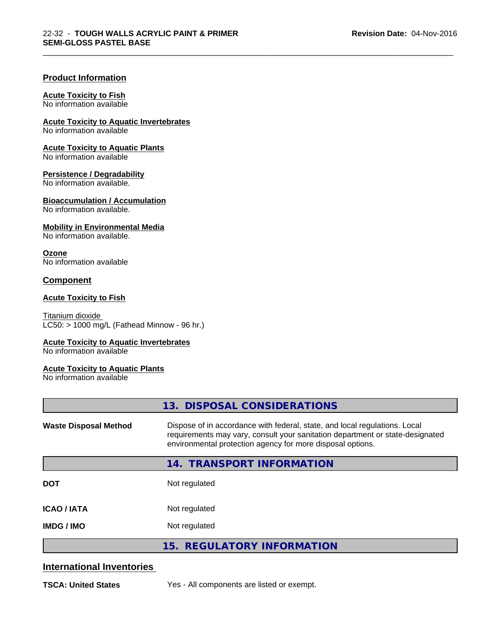\_\_\_\_\_\_\_\_\_\_\_\_\_\_\_\_\_\_\_\_\_\_\_\_\_\_\_\_\_\_\_\_\_\_\_\_\_\_\_\_\_\_\_\_\_\_\_\_\_\_\_\_\_\_\_\_\_\_\_\_\_\_\_\_\_\_\_\_\_\_\_\_\_\_\_\_\_\_\_\_\_\_\_\_\_\_\_\_\_\_\_\_\_

### **Product Information**

#### **Acute Toxicity to Fish**

No information available

**Acute Toxicity to Aquatic Invertebrates**

No information available

**Acute Toxicity to Aquatic Plants**

No information available

#### **Persistence / Degradability**

No information available.

#### **Bioaccumulation / Accumulation**

No information available.

#### **Mobility in Environmental Media**

No information available.

#### **Ozone**

No information available

# **Component**

#### **Acute Toxicity to Fish**

Titanium dioxide  $\overline{\text{LC50:}}$  > 1000 mg/L (Fathead Minnow - 96 hr.)

#### **Acute Toxicity to Aquatic Invertebrates**

No information available

#### **Acute Toxicity to Aquatic Plants**

No information available

|                              | 13. DISPOSAL CONSIDERATIONS                                                                                                                                                                                               |
|------------------------------|---------------------------------------------------------------------------------------------------------------------------------------------------------------------------------------------------------------------------|
| <b>Waste Disposal Method</b> | Dispose of in accordance with federal, state, and local regulations. Local<br>requirements may vary, consult your sanitation department or state-designated<br>environmental protection agency for more disposal options. |
|                              | 14. TRANSPORT INFORMATION                                                                                                                                                                                                 |
| <b>DOT</b>                   | Not regulated                                                                                                                                                                                                             |
| <b>ICAO/IATA</b>             | Not regulated                                                                                                                                                                                                             |
| <b>IMDG/IMO</b>              | Not regulated                                                                                                                                                                                                             |
|                              | 15. REGULATORY INFORMATION                                                                                                                                                                                                |

# **International Inventories**

**TSCA: United States** Yes - All components are listed or exempt.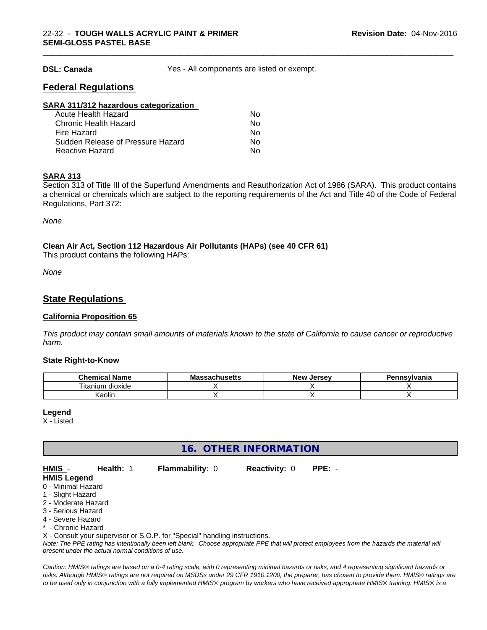**DSL: Canada** Yes - All components are listed or exempt.

\_\_\_\_\_\_\_\_\_\_\_\_\_\_\_\_\_\_\_\_\_\_\_\_\_\_\_\_\_\_\_\_\_\_\_\_\_\_\_\_\_\_\_\_\_\_\_\_\_\_\_\_\_\_\_\_\_\_\_\_\_\_\_\_\_\_\_\_\_\_\_\_\_\_\_\_\_\_\_\_\_\_\_\_\_\_\_\_\_\_\_\_\_

# **Federal Regulations**

| Nο |  |
|----|--|
| Nο |  |
| Nο |  |
| Nο |  |
| Nο |  |
|    |  |

#### **SARA 313**

Section 313 of Title III of the Superfund Amendments and Reauthorization Act of 1986 (SARA). This product contains a chemical or chemicals which are subject to the reporting requirements of the Act and Title 40 of the Code of Federal Regulations, Part 372:

*None*

#### **Clean Air Act,Section 112 Hazardous Air Pollutants (HAPs) (see 40 CFR 61)**

This product contains the following HAPs:

*None*

# **State Regulations**

#### **California Proposition 65**

This product may contain small amounts of materials known to the state of California to cause cancer or reproductive *harm.*

#### **State Right-to-Know**

| .<br>Chemica<br>Name<br>эннса                 | - -<br>.<br>IVIA<br><b>Jauliuscilo</b> | - -<br><b>Jerse</b> v<br><b>Nev</b> | าทรงIvania |
|-----------------------------------------------|----------------------------------------|-------------------------------------|------------|
| $- \cdot$ .<br>.<br>dioxide<br>um<br>. itanii |                                        |                                     |            |
| .<br>$\overline{\phantom{a}}$<br>Kaolin       |                                        |                                     |            |

#### **Legend**

X - Listed

**16. OTHER INFORMATION**

**HMIS** - **Health:** 1 **Flammability:** 0 **Reactivity:** 0 **PPE:** -

#### **HMIS Legend** 0 - Minimal Hazard

- 
- 1 Slight Hazard 2 - Moderate Hazard
- 3 Serious Hazard
- 4 Severe Hazard
- \* Chronic Hazard

X - Consult your supervisor or S.O.P. for "Special" handling instructions.

*Note: The PPE rating has intentionally been left blank. Choose appropriate PPE that will protect employees from the hazards the material will present under the actual normal conditions of use.*

*Caution: HMISÒ ratings are based on a 0-4 rating scale, with 0 representing minimal hazards or risks, and 4 representing significant hazards or risks. Although HMISÒ ratings are not required on MSDSs under 29 CFR 1910.1200, the preparer, has chosen to provide them. HMISÒ ratings are to be used only in conjunction with a fully implemented HMISÒ program by workers who have received appropriate HMISÒ training. HMISÒ is a*